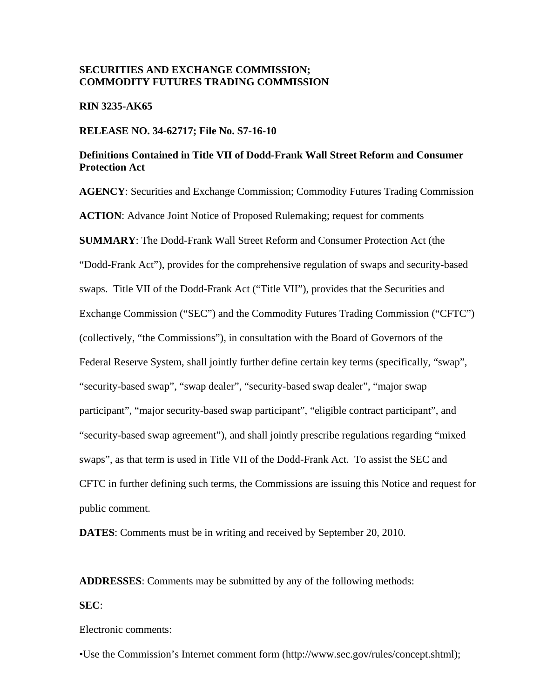### **SECURITIES AND EXCHANGE COMMISSION; COMMODITY FUTURES TRADING COMMISSION**

### **RIN 3235-AK65**

### **RELEASE NO. 34-62717; File No. S7-16-10**

### **Definitions Contained in Title VII of Dodd-Frank Wall Street Reform and Consumer Protection Act**

**AGENCY**: Securities and Exchange Commission; Commodity Futures Trading Commission **ACTION**: Advance Joint Notice of Proposed Rulemaking; request for comments **SUMMARY**: The Dodd-Frank Wall Street Reform and Consumer Protection Act (the "Dodd-Frank Act"), provides for the comprehensive regulation of swaps and security-based swaps. Title VII of the Dodd-Frank Act ("Title VII"), provides that the Securities and Exchange Commission ("SEC") and the Commodity Futures Trading Commission ("CFTC") (collectively, "the Commissions"), in consultation with the Board of Governors of the Federal Reserve System, shall jointly further define certain key terms (specifically, "swap", "security-based swap", "swap dealer", "security-based swap dealer", "major swap participant", "major security-based swap participant", "eligible contract participant", and "security-based swap agreement"), and shall jointly prescribe regulations regarding "mixed swaps", as that term is used in Title VII of the Dodd-Frank Act. To assist the SEC and CFTC in further defining such terms, the Commissions are issuing this Notice and request for public comment.

**DATES**: Comments must be in writing and received by September 20, 2010.

**ADDRESSES**: Comments may be submitted by any of the following methods:

#### **SEC**:

Electronic comments:

•Use the Commission's Internet comment form (http://www.sec.gov/rules/concept.shtml);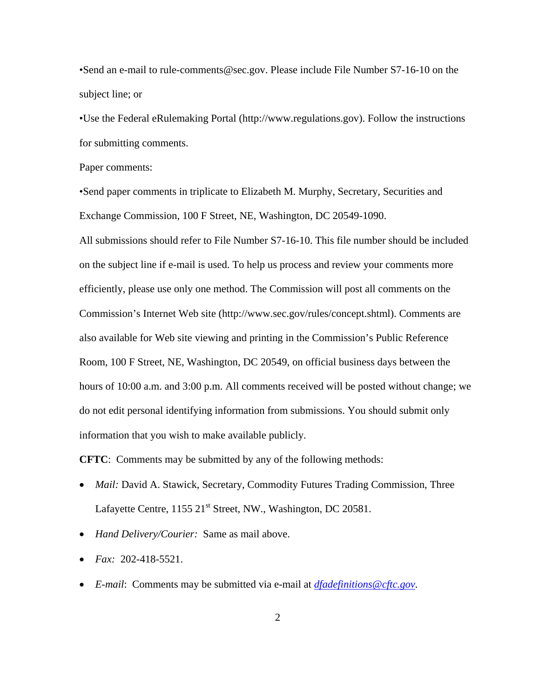•Send an e-mail to rule-comments@sec.gov. Please include File Number S7-16-10 on the subject line; or

•Use the Federal eRulemaking Portal (http://www.regulations.gov). Follow the instructions for submitting comments.

Paper comments:

•Send paper comments in triplicate to Elizabeth M. Murphy, Secretary, Securities and Exchange Commission, 100 F Street, NE, Washington, DC 20549-1090. All submissions should refer to File Number S7-16-10. This file number should be included on the subject line if e-mail is used. To help us process and review your comments more efficiently, please use only one method. The Commission will post all comments on the Commission's Internet Web site (http://www.sec.gov/rules/concept.shtml). Comments are also available for Web site viewing and printing in the Commission's Public Reference Room, 100 F Street, NE, Washington, DC 20549, on official business days between the hours of 10:00 a.m. and 3:00 p.m. All comments received will be posted without change; we do not edit personal identifying information from submissions. You should submit only information that you wish to make available publicly.

**CFTC**: Comments may be submitted by any of the following methods:

- *Mail: David A. Stawick, Secretary, Commodity Futures Trading Commission, Three* Lafayette Centre, 1155 21<sup>st</sup> Street, NW., Washington, DC 20581.
- • *Hand Delivery/Courier:* Same as mail above.
- • *Fax:* 202-418-5521.
- • *E-mail*: Comments may be submitted via e-mail at *dfadefinitions@cftc.gov.*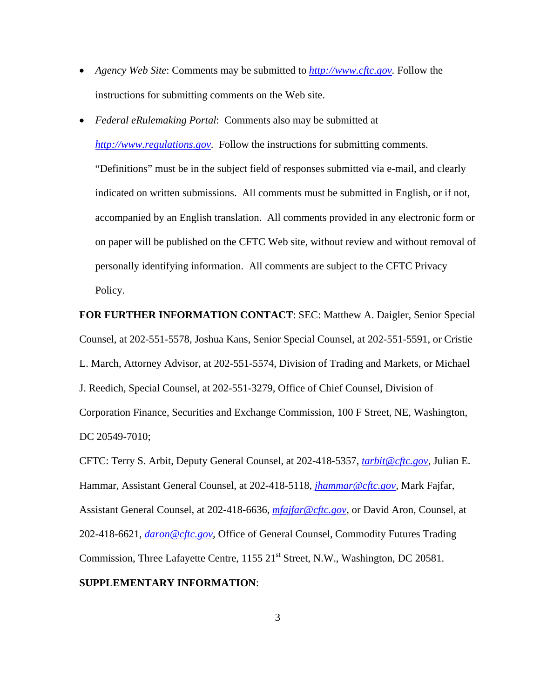- *Agency Web Site:* Comments may be submitted to *http://www.cftc.gov*. Follow the instructions for submitting comments on the Web site.
- *Federal eRulemaking Portal:* Comments also may be submitted at *http://www.regulations.gov.* Follow the instructions for submitting comments.

"Definitions" must be in the subject field of responses submitted via e-mail, and clearly indicated on written submissions. All comments must be submitted in English, or if not, accompanied by an English translation. All comments provided in any electronic form or on paper will be published on the CFTC Web site, without review and without removal of personally identifying information. All comments are subject to the CFTC Privacy Policy.

# **FOR FURTHER INFORMATION CONTACT**: SEC: Matthew A. Daigler, Senior Special Counsel, at 202-551-5578, Joshua Kans, Senior Special Counsel, at 202-551-5591, or Cristie L. March, Attorney Advisor, at 202-551-5574, Division of Trading and Markets, or Michael J. Reedich, Special Counsel, at 202-551-3279, Office of Chief Counsel, Division of Corporation Finance, Securities and Exchange Commission, 100 F Street, NE, Washington, DC 20549-7010;

CFTC: Terry S. Arbit, Deputy General Counsel, at 202-418-5357, *tarbit@cftc.gov,* Julian E. Hammar, Assistant General Counsel, at 202-418-5118, *jhammar@cftc.gov,* Mark Fajfar, Assistant General Counsel, at 202-418-6636, *mfajfar@cftc.gov,* or David Aron, Counsel, at 202-418-6621, *daron@cftc.gov,* Office of General Counsel, Commodity Futures Trading Commission, Three Lafayette Centre,  $1155 21<sup>st</sup>$  Street, N.W., Washington, DC 20581. **SUPPLEMENTARY INFORMATION**: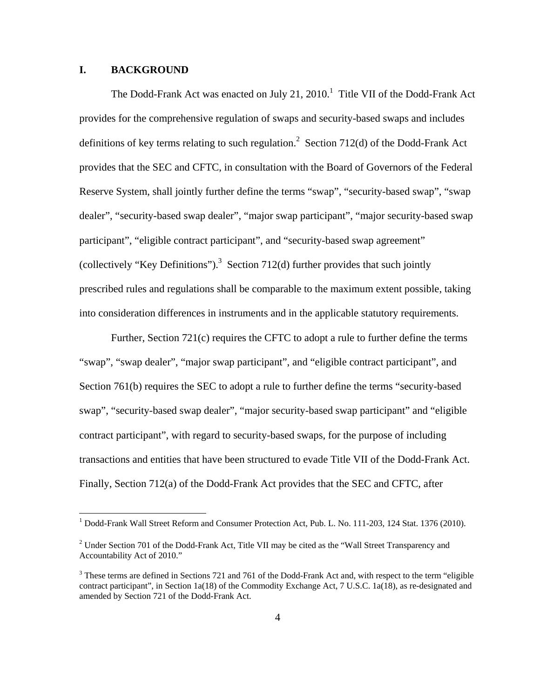### **I. BACKGROUND**

<u>.</u>

The Dodd-Frank Act was enacted on July 21,  $2010<sup>1</sup>$  Title VII of the Dodd-Frank Act provides for the comprehensive regulation of swaps and security-based swaps and includes definitions of key terms relating to such regulation.<sup>2</sup> Section 712(d) of the Dodd-Frank Act provides that the SEC and CFTC, in consultation with the Board of Governors of the Federal Reserve System, shall jointly further define the terms "swap", "security-based swap", "swap dealer", "security-based swap dealer", "major swap participant", "major security-based swap participant", "eligible contract participant", and "security-based swap agreement" (collectively "Key Definitions").<sup>3</sup> Section 712(d) further provides that such jointly prescribed rules and regulations shall be comparable to the maximum extent possible, taking into consideration differences in instruments and in the applicable statutory requirements.

Further, Section 721(c) requires the CFTC to adopt a rule to further define the terms "swap", "swap dealer", "major swap participant", and "eligible contract participant", and Section 761(b) requires the SEC to adopt a rule to further define the terms "security-based swap", "security-based swap dealer", "major security-based swap participant" and "eligible contract participant", with regard to security-based swaps, for the purpose of including transactions and entities that have been structured to evade Title VII of the Dodd-Frank Act. Finally, Section 712(a) of the Dodd-Frank Act provides that the SEC and CFTC, after

<sup>&</sup>lt;sup>1</sup> Dodd-Frank Wall Street Reform and Consumer Protection Act, Pub. L. No. 111-203, 124 Stat. 1376 (2010).

<sup>&</sup>lt;sup>2</sup> Under Section 701 of the Dodd-Frank Act, Title VII may be cited as the "Wall Street Transparency and Accountability Act of 2010."

 $3$  These terms are defined in Sections 721 and 761 of the Dodd-Frank Act and, with respect to the term "eligible" contract participant", in Section 1a(18) of the Commodity Exchange Act, 7 U.S.C. 1a(18), as re-designated and amended by Section 721 of the Dodd-Frank Act.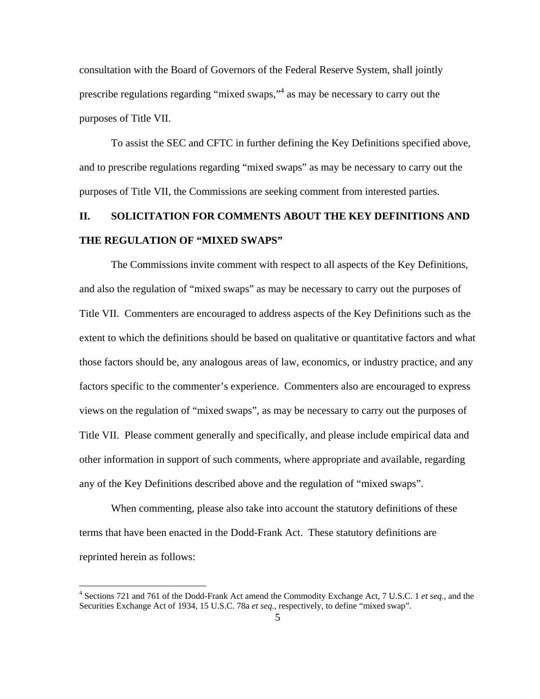consultation with the Board of Governors of the Federal Reserve System, shall jointly prescribe regulations regarding "mixed swaps,"<sup>4</sup> as may be necessary to carry out the purposes of Title VII.

To assist the SEC and CFTC in further defining the Key Definitions specified above, and to prescribe regulations regarding "mixed swaps" as may be necessary to carry out the purposes of Title VII, the Commissions are seeking comment from interested parties.

## **II. SOLICITATION FOR COMMENTS ABOUT THE KEY DEFINITIONS AND THE REGULATION OF "MIXED SWAPS"**

The Commissions invite comment with respect to all aspects of the Key Definitions, and also the regulation of "mixed swaps" as may be necessary to carry out the purposes of Title VII. Commenters are encouraged to address aspects of the Key Definitions such as the extent to which the definitions should be based on qualitative or quantitative factors and what those factors should be, any analogous areas of law, economics, or industry practice, and any factors specific to the commenter's experience. Commenters also are encouraged to express views on the regulation of "mixed swaps", as may be necessary to carry out the purposes of Title VII. Please comment generally and specifically, and please include empirical data and other information in support of such comments, where appropriate and available, regarding any of the Key Definitions described above and the regulation of "mixed swaps".

When commenting, please also take into account the statutory definitions of these terms that have been enacted in the Dodd-Frank Act. These statutory definitions are reprinted herein as follows:

<u>.</u>

<sup>4</sup> Sections 721 and 761 of the Dodd-Frank Act amend the Commodity Exchange Act, 7 U.S.C. 1 *et seq.,* and the Securities Exchange Act of 1934, 15 U.S.C. 78a *et seq.,* respectively, to define "mixed swap".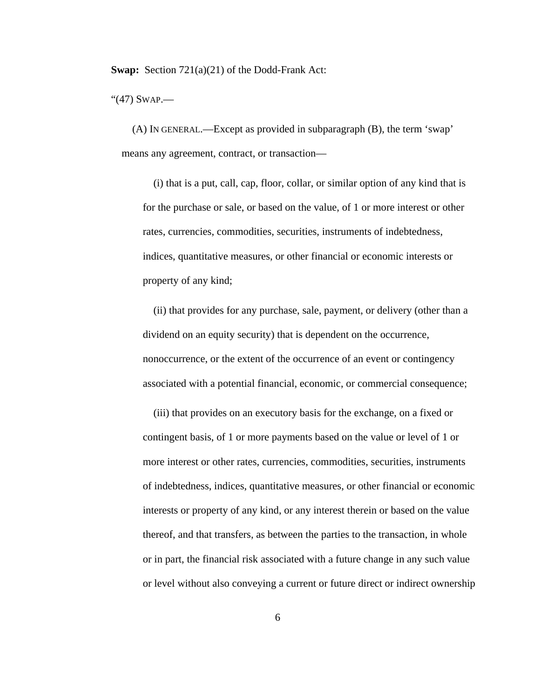**Swap:** Section 721(a)(21) of the Dodd-Frank Act:

"(47) SWAP.—

(A) IN GENERAL.—Except as provided in subparagraph (B), the term 'swap' means any agreement, contract, or transaction—

(i) that is a put, call, cap, floor, collar, or similar option of any kind that is for the purchase or sale, or based on the value, of 1 or more interest or other rates, currencies, commodities, securities, instruments of indebtedness, indices, quantitative measures, or other financial or economic interests or property of any kind;

(ii) that provides for any purchase, sale, payment, or delivery (other than a dividend on an equity security) that is dependent on the occurrence, nonoccurrence, or the extent of the occurrence of an event or contingency associated with a potential financial, economic, or commercial consequence;

(iii) that provides on an executory basis for the exchange, on a fixed or contingent basis, of 1 or more payments based on the value or level of 1 or more interest or other rates, currencies, commodities, securities, instruments of indebtedness, indices, quantitative measures, or other financial or economic interests or property of any kind, or any interest therein or based on the value thereof, and that transfers, as between the parties to the transaction, in whole or in part, the financial risk associated with a future change in any such value or level without also conveying a current or future direct or indirect ownership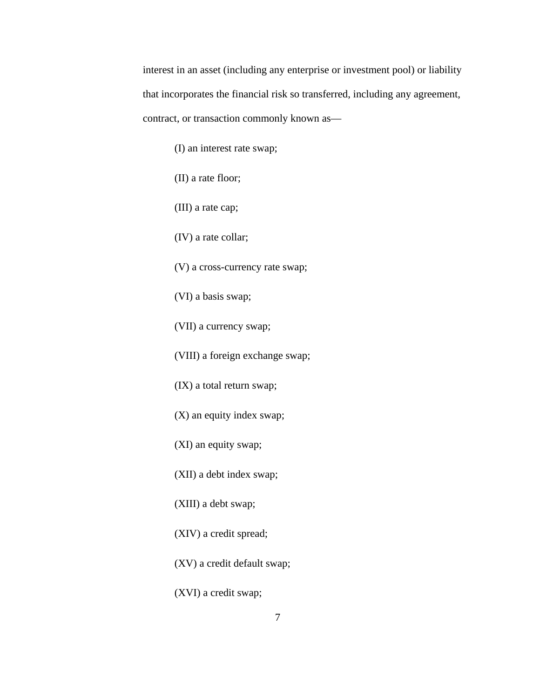interest in an asset (including any enterprise or investment pool) or liability that incorporates the financial risk so transferred, including any agreement, contract, or transaction commonly known as—

(I) an interest rate swap;

(II) a rate floor;

(III) a rate cap;

(IV) a rate collar;

(V) a cross-currency rate swap;

(VI) a basis swap;

(VII) a currency swap;

(VIII) a foreign exchange swap;

(IX) a total return swap;

(X) an equity index swap;

(XI) an equity swap;

(XII) a debt index swap;

(XIII) a debt swap;

(XIV) a credit spread;

(XV) a credit default swap;

(XVI) a credit swap;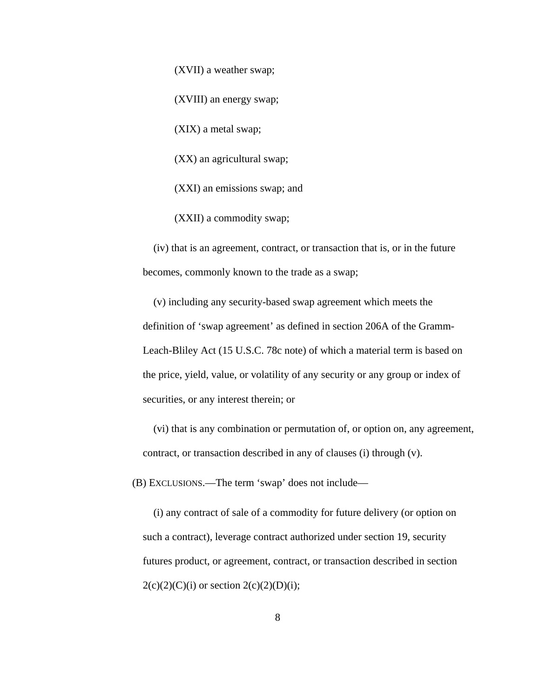(XVII) a weather swap;

(XVIII) an energy swap;

(XIX) a metal swap;

(XX) an agricultural swap;

(XXI) an emissions swap; and

(XXII) a commodity swap;

(iv) that is an agreement, contract, or transaction that is, or in the future becomes, commonly known to the trade as a swap;

(v) including any security-based swap agreement which meets the definition of 'swap agreement' as defined in section 206A of the Gramm-Leach-Bliley Act (15 U.S.C. 78c note) of which a material term is based on the price, yield, value, or volatility of any security or any group or index of securities, or any interest therein; or

(vi) that is any combination or permutation of, or option on, any agreement, contract, or transaction described in any of clauses (i) through (v).

(B) EXCLUSIONS.—The term 'swap' does not include—

(i) any contract of sale of a commodity for future delivery (or option on such a contract), leverage contract authorized under section 19, security futures product, or agreement, contract, or transaction described in section  $2(c)(2)(C)(i)$  or section  $2(c)(2)(D)(i)$ ;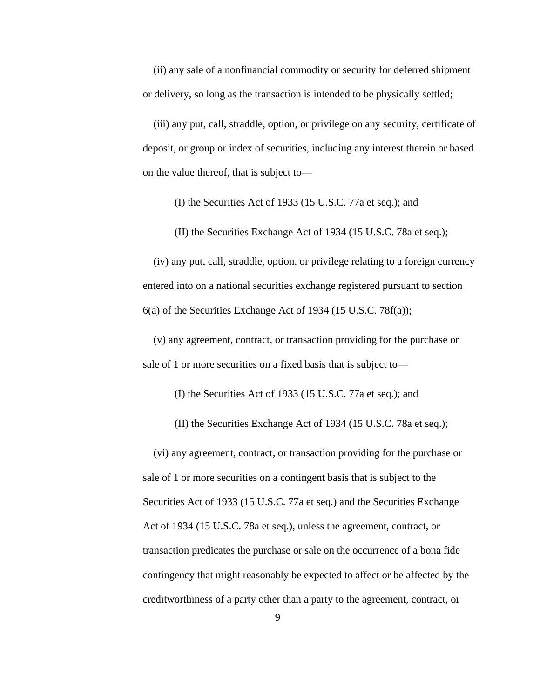(ii) any sale of a nonfinancial commodity or security for deferred shipment or delivery, so long as the transaction is intended to be physically settled;

(iii) any put, call, straddle, option, or privilege on any security, certificate of deposit, or group or index of securities, including any interest therein or based on the value thereof, that is subject to—

(I) the Securities Act of 1933 (15 U.S.C. 77a et seq.); and

(II) the Securities Exchange Act of 1934 (15 U.S.C. 78a et seq.);

(iv) any put, call, straddle, option, or privilege relating to a foreign currency entered into on a national securities exchange registered pursuant to section 6(a) of the Securities Exchange Act of 1934 (15 U.S.C. 78f(a));

(v) any agreement, contract, or transaction providing for the purchase or sale of 1 or more securities on a fixed basis that is subject to—

(I) the Securities Act of 1933 (15 U.S.C. 77a et seq.); and

(II) the Securities Exchange Act of 1934 (15 U.S.C. 78a et seq.);

(vi) any agreement, contract, or transaction providing for the purchase or sale of 1 or more securities on a contingent basis that is subject to the Securities Act of 1933 (15 U.S.C. 77a et seq.) and the Securities Exchange Act of 1934 (15 U.S.C. 78a et seq.), unless the agreement, contract, or transaction predicates the purchase or sale on the occurrence of a bona fide contingency that might reasonably be expected to affect or be affected by the creditworthiness of a party other than a party to the agreement, contract, or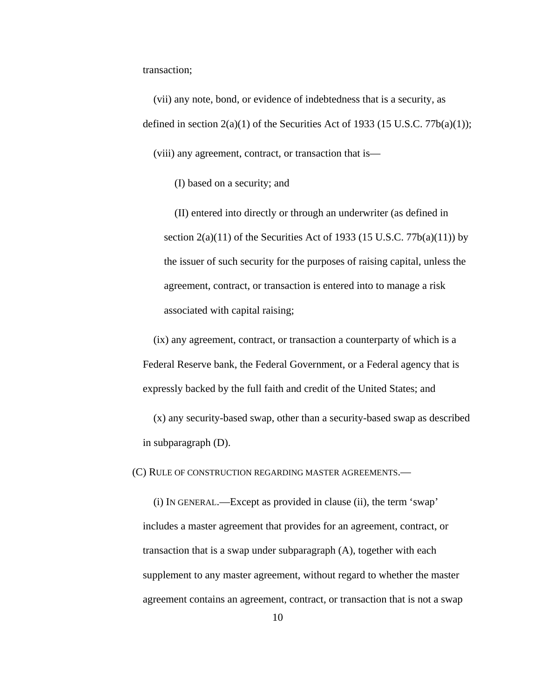transaction;

(vii) any note, bond, or evidence of indebtedness that is a security, as defined in section  $2(a)(1)$  of the Securities Act of 1933 (15 U.S.C. 77b(a)(1)); (viii) any agreement, contract, or transaction that is—

(I) based on a security; and

(II) entered into directly or through an underwriter (as defined in section  $2(a)(11)$  of the Securities Act of 1933 (15 U.S.C. 77b(a)(11)) by the issuer of such security for the purposes of raising capital, unless the agreement, contract, or transaction is entered into to manage a risk associated with capital raising;

(ix) any agreement, contract, or transaction a counterparty of which is a Federal Reserve bank, the Federal Government, or a Federal agency that is expressly backed by the full faith and credit of the United States; and

(x) any security-based swap, other than a security-based swap as described in subparagraph (D).

(C) RULE OF CONSTRUCTION REGARDING MASTER AGREEMENTS.—

(i) IN GENERAL.—Except as provided in clause (ii), the term 'swap' includes a master agreement that provides for an agreement, contract, or transaction that is a swap under subparagraph (A), together with each supplement to any master agreement, without regard to whether the master agreement contains an agreement, contract, or transaction that is not a swap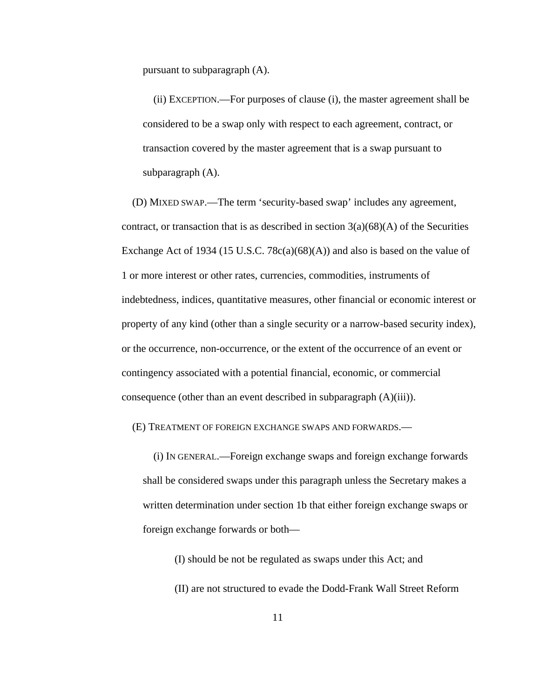pursuant to subparagraph (A).

(ii) EXCEPTION.—For purposes of clause (i), the master agreement shall be considered to be a swap only with respect to each agreement, contract, or transaction covered by the master agreement that is a swap pursuant to subparagraph (A).

(D) MIXED SWAP.—The term 'security-based swap' includes any agreement, contract, or transaction that is as described in section  $3(a)(68)(A)$  of the Securities Exchange Act of 1934 (15 U.S.C. 78 $c(a)(68)(A)$ ) and also is based on the value of 1 or more interest or other rates, currencies, commodities, instruments of indebtedness, indices, quantitative measures, other financial or economic interest or property of any kind (other than a single security or a narrow-based security index), or the occurrence, non-occurrence, or the extent of the occurrence of an event or contingency associated with a potential financial, economic, or commercial consequence (other than an event described in subparagraph (A)(iii)).

(E) TREATMENT OF FOREIGN EXCHANGE SWAPS AND FORWARDS.—

(i) IN GENERAL.—Foreign exchange swaps and foreign exchange forwards shall be considered swaps under this paragraph unless the Secretary makes a written determination under section 1b that either foreign exchange swaps or foreign exchange forwards or both—

(I) should be not be regulated as swaps under this Act; and (II) are not structured to evade the Dodd-Frank Wall Street Reform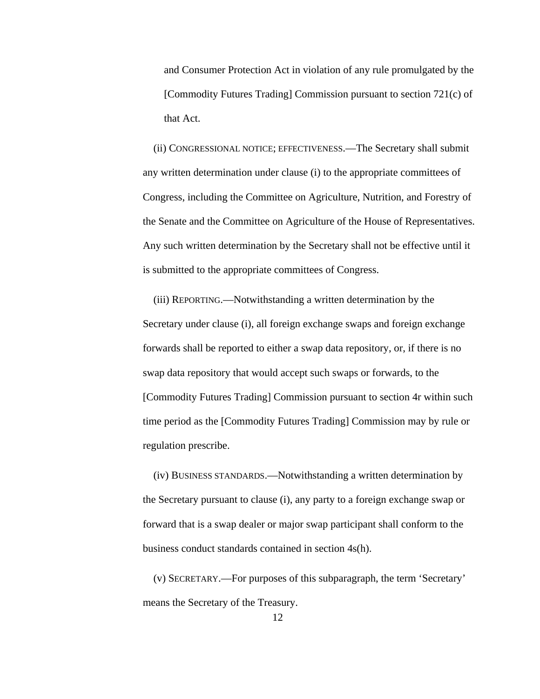and Consumer Protection Act in violation of any rule promulgated by the [Commodity Futures Trading] Commission pursuant to section 721(c) of that Act.

(ii) CONGRESSIONAL NOTICE; EFFECTIVENESS.—The Secretary shall submit any written determination under clause (i) to the appropriate committees of Congress, including the Committee on Agriculture, Nutrition, and Forestry of the Senate and the Committee on Agriculture of the House of Representatives. Any such written determination by the Secretary shall not be effective until it is submitted to the appropriate committees of Congress.

(iii) REPORTING.—Notwithstanding a written determination by the Secretary under clause (i), all foreign exchange swaps and foreign exchange forwards shall be reported to either a swap data repository, or, if there is no swap data repository that would accept such swaps or forwards, to the [Commodity Futures Trading] Commission pursuant to section 4r within such time period as the [Commodity Futures Trading] Commission may by rule or regulation prescribe.

(iv) BUSINESS STANDARDS.—Notwithstanding a written determination by the Secretary pursuant to clause (i), any party to a foreign exchange swap or forward that is a swap dealer or major swap participant shall conform to the business conduct standards contained in section 4s(h).

(v) SECRETARY.—For purposes of this subparagraph, the term 'Secretary' means the Secretary of the Treasury.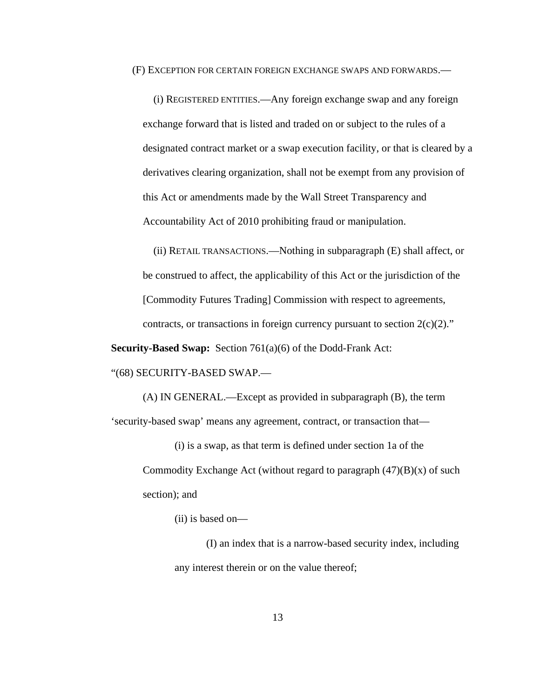(F) EXCEPTION FOR CERTAIN FOREIGN EXCHANGE SWAPS AND FORWARDS.—

(i) REGISTERED ENTITIES.—Any foreign exchange swap and any foreign exchange forward that is listed and traded on or subject to the rules of a designated contract market or a swap execution facility, or that is cleared by a derivatives clearing organization, shall not be exempt from any provision of this Act or amendments made by the Wall Street Transparency and Accountability Act of 2010 prohibiting fraud or manipulation.

(ii) RETAIL TRANSACTIONS.—Nothing in subparagraph (E) shall affect, or be construed to affect, the applicability of this Act or the jurisdiction of the [Commodity Futures Trading] Commission with respect to agreements, contracts, or transactions in foreign currency pursuant to section  $2(c)(2)$ ."

**Security-Based Swap:** Section 761(a)(6) of the Dodd-Frank Act:

"(68) SECURITY-BASED SWAP.—

(A) IN GENERAL.—Except as provided in subparagraph (B), the term 'security-based swap' means any agreement, contract, or transaction that—

(i) is a swap, as that term is defined under section 1a of the Commodity Exchange Act (without regard to paragraph  $(47)(B)(x)$  of such section); and

(ii) is based on—

(I) an index that is a narrow-based security index, including any interest therein or on the value thereof;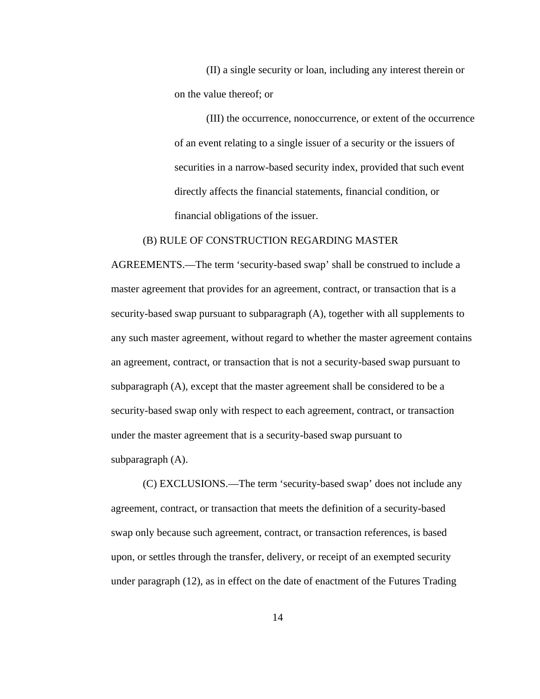(II) a single security or loan, including any interest therein or on the value thereof; or

(III) the occurrence, nonoccurrence, or extent of the occurrence of an event relating to a single issuer of a security or the issuers of securities in a narrow-based security index, provided that such event directly affects the financial statements, financial condition, or financial obligations of the issuer.

### (B) RULE OF CONSTRUCTION REGARDING MASTER

AGREEMENTS.—The term 'security-based swap' shall be construed to include a master agreement that provides for an agreement, contract, or transaction that is a security-based swap pursuant to subparagraph (A), together with all supplements to any such master agreement, without regard to whether the master agreement contains an agreement, contract, or transaction that is not a security-based swap pursuant to subparagraph (A), except that the master agreement shall be considered to be a security-based swap only with respect to each agreement, contract, or transaction under the master agreement that is a security-based swap pursuant to subparagraph (A).

(C) EXCLUSIONS.—The term 'security-based swap' does not include any agreement, contract, or transaction that meets the definition of a security-based swap only because such agreement, contract, or transaction references, is based upon, or settles through the transfer, delivery, or receipt of an exempted security under paragraph (12), as in effect on the date of enactment of the Futures Trading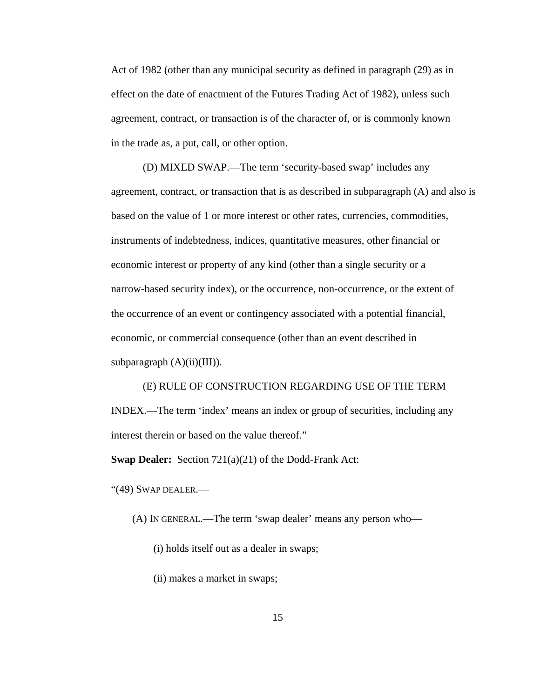Act of 1982 (other than any municipal security as defined in paragraph (29) as in effect on the date of enactment of the Futures Trading Act of 1982), unless such agreement, contract, or transaction is of the character of, or is commonly known in the trade as, a put, call, or other option.

(D) MIXED SWAP.—The term 'security-based swap' includes any agreement, contract, or transaction that is as described in subparagraph (A) and also is based on the value of 1 or more interest or other rates, currencies, commodities, instruments of indebtedness, indices, quantitative measures, other financial or economic interest or property of any kind (other than a single security or a narrow-based security index), or the occurrence, non-occurrence, or the extent of the occurrence of an event or contingency associated with a potential financial, economic, or commercial consequence (other than an event described in subparagraph  $(A)(ii)(III)$ ).

(E) RULE OF CONSTRUCTION REGARDING USE OF THE TERM INDEX.—The term 'index' means an index or group of securities, including any interest therein or based on the value thereof."

**Swap Dealer:** Section 721(a)(21) of the Dodd-Frank Act:

"(49) SWAP DEALER.—

(A) IN GENERAL.—The term 'swap dealer' means any person who—

(i) holds itself out as a dealer in swaps;

(ii) makes a market in swaps;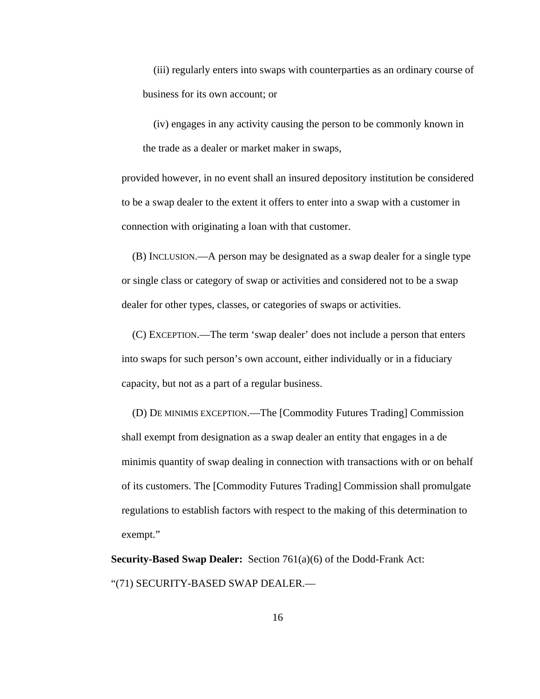(iii) regularly enters into swaps with counterparties as an ordinary course of business for its own account; or

(iv) engages in any activity causing the person to be commonly known in the trade as a dealer or market maker in swaps,

provided however, in no event shall an insured depository institution be considered to be a swap dealer to the extent it offers to enter into a swap with a customer in connection with originating a loan with that customer.

(B) INCLUSION.—A person may be designated as a swap dealer for a single type or single class or category of swap or activities and considered not to be a swap dealer for other types, classes, or categories of swaps or activities.

(C) EXCEPTION.—The term 'swap dealer' does not include a person that enters into swaps for such person's own account, either individually or in a fiduciary capacity, but not as a part of a regular business.

(D) DE MINIMIS EXCEPTION.—The [Commodity Futures Trading] Commission shall exempt from designation as a swap dealer an entity that engages in a de minimis quantity of swap dealing in connection with transactions with or on behalf of its customers. The [Commodity Futures Trading] Commission shall promulgate regulations to establish factors with respect to the making of this determination to exempt."

**Security-Based Swap Dealer:** Section 761(a)(6) of the Dodd-Frank Act: "(71) SECURITY-BASED SWAP DEALER.—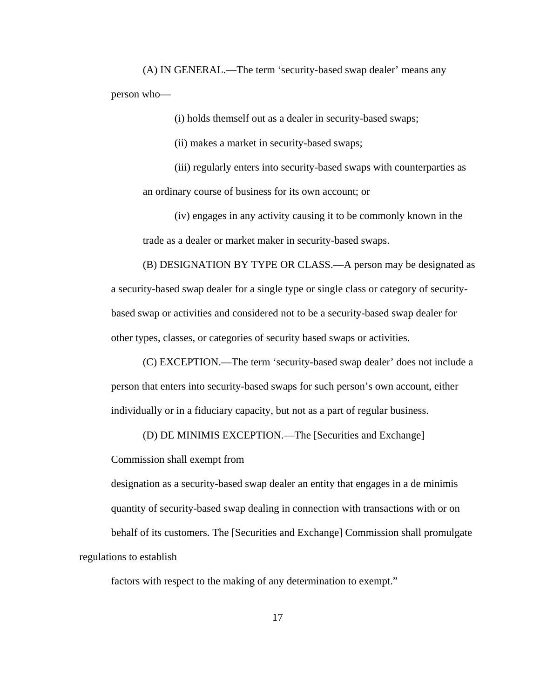(A) IN GENERAL.—The term 'security-based swap dealer' means any person who—

(i) holds themself out as a dealer in security-based swaps;

(ii) makes a market in security-based swaps;

(iii) regularly enters into security-based swaps with counterparties as an ordinary course of business for its own account; or

(iv) engages in any activity causing it to be commonly known in the trade as a dealer or market maker in security-based swaps.

(B) DESIGNATION BY TYPE OR CLASS.—A person may be designated as a security-based swap dealer for a single type or single class or category of securitybased swap or activities and considered not to be a security-based swap dealer for other types, classes, or categories of security based swaps or activities.

(C) EXCEPTION.—The term 'security-based swap dealer' does not include a person that enters into security-based swaps for such person's own account, either individually or in a fiduciary capacity, but not as a part of regular business.

(D) DE MINIMIS EXCEPTION.—The [Securities and Exchange]

Commission shall exempt from

designation as a security-based swap dealer an entity that engages in a de minimis quantity of security-based swap dealing in connection with transactions with or on behalf of its customers. The [Securities and Exchange] Commission shall promulgate regulations to establish

factors with respect to the making of any determination to exempt."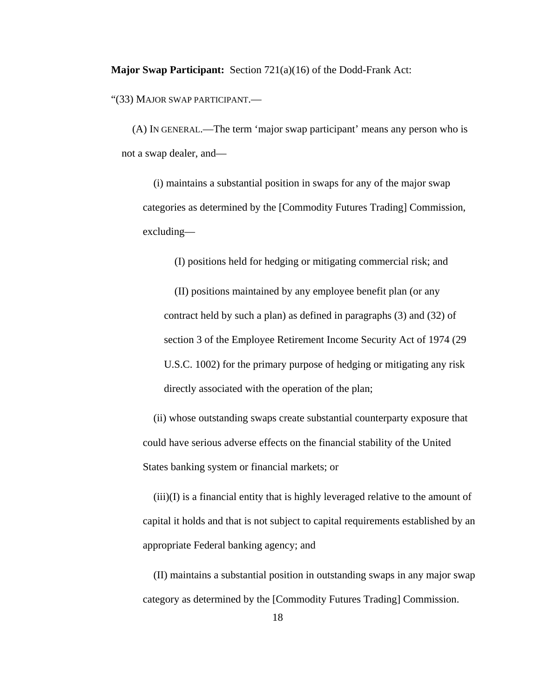**Major Swap Participant:** Section 721(a)(16) of the Dodd-Frank Act:

"(33) MAJOR SWAP PARTICIPANT.—

(A) IN GENERAL.—The term 'major swap participant' means any person who is not a swap dealer, and—

(i) maintains a substantial position in swaps for any of the major swap categories as determined by the [Commodity Futures Trading] Commission, excluding—

(I) positions held for hedging or mitigating commercial risk; and

(II) positions maintained by any employee benefit plan (or any contract held by such a plan) as defined in paragraphs (3) and (32) of section 3 of the Employee Retirement Income Security Act of 1974 (29 U.S.C. 1002) for the primary purpose of hedging or mitigating any risk directly associated with the operation of the plan;

(ii) whose outstanding swaps create substantial counterparty exposure that could have serious adverse effects on the financial stability of the United States banking system or financial markets; or

(iii)(I) is a financial entity that is highly leveraged relative to the amount of capital it holds and that is not subject to capital requirements established by an appropriate Federal banking agency; and

(II) maintains a substantial position in outstanding swaps in any major swap category as determined by the [Commodity Futures Trading] Commission.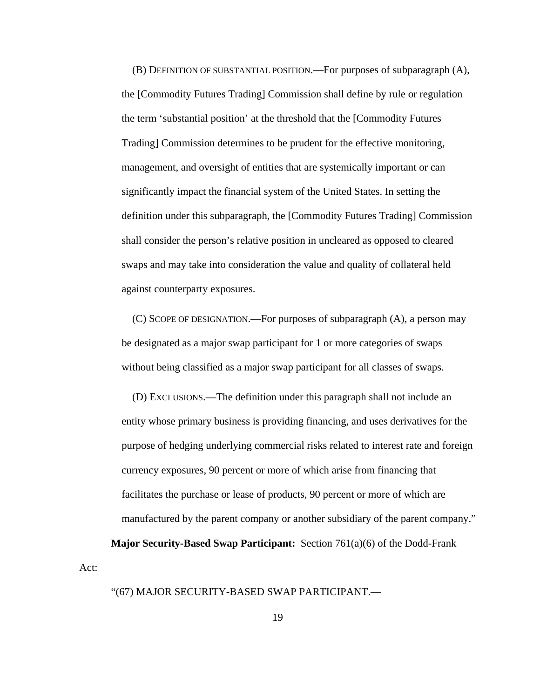(B) DEFINITION OF SUBSTANTIAL POSITION.—For purposes of subparagraph (A), the [Commodity Futures Trading] Commission shall define by rule or regulation the term 'substantial position' at the threshold that the [Commodity Futures Trading] Commission determines to be prudent for the effective monitoring, management, and oversight of entities that are systemically important or can significantly impact the financial system of the United States. In setting the definition under this subparagraph, the [Commodity Futures Trading] Commission shall consider the person's relative position in uncleared as opposed to cleared swaps and may take into consideration the value and quality of collateral held against counterparty exposures.

(C) SCOPE OF DESIGNATION.—For purposes of subparagraph (A), a person may be designated as a major swap participant for 1 or more categories of swaps without being classified as a major swap participant for all classes of swaps.

(D) EXCLUSIONS.—The definition under this paragraph shall not include an entity whose primary business is providing financing, and uses derivatives for the purpose of hedging underlying commercial risks related to interest rate and foreign currency exposures, 90 percent or more of which arise from financing that facilitates the purchase or lease of products, 90 percent or more of which are manufactured by the parent company or another subsidiary of the parent company."

**Major Security-Based Swap Participant:** Section 761(a)(6) of the Dodd-Frank

Act:

### "(67) MAJOR SECURITY-BASED SWAP PARTICIPANT.—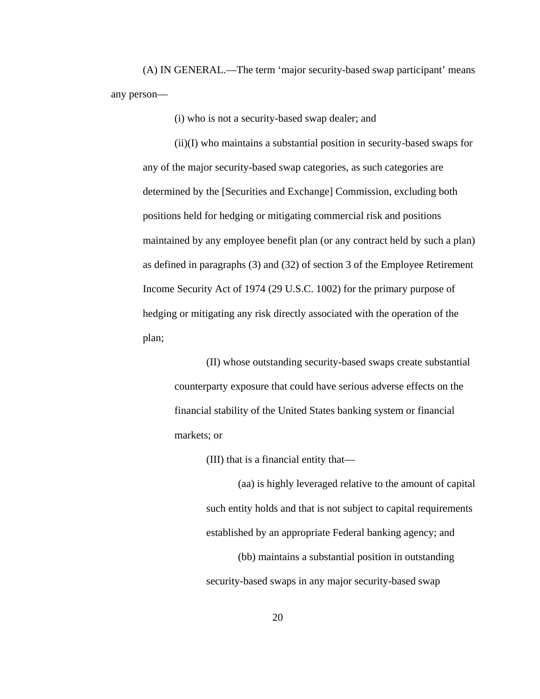(A) IN GENERAL.—The term 'major security-based swap participant' means any person—

(i) who is not a security-based swap dealer; and

(ii)(I) who maintains a substantial position in security-based swaps for any of the major security-based swap categories, as such categories are determined by the [Securities and Exchange] Commission, excluding both positions held for hedging or mitigating commercial risk and positions maintained by any employee benefit plan (or any contract held by such a plan) as defined in paragraphs (3) and (32) of section 3 of the Employee Retirement Income Security Act of 1974 (29 U.S.C. 1002) for the primary purpose of hedging or mitigating any risk directly associated with the operation of the plan;

(II) whose outstanding security-based swaps create substantial counterparty exposure that could have serious adverse effects on the financial stability of the United States banking system or financial markets; or

(III) that is a financial entity that—

(aa) is highly leveraged relative to the amount of capital such entity holds and that is not subject to capital requirements established by an appropriate Federal banking agency; and

(bb) maintains a substantial position in outstanding security-based swaps in any major security-based swap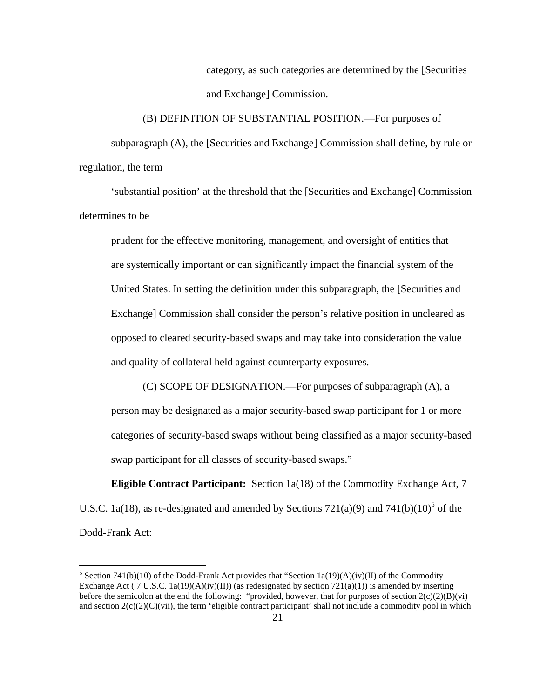category, as such categories are determined by the [Securities and Exchange] Commission.

subparagraph (A), the [Securities and Exchange] Commission shall define, by rule or regulation, the term

(B) DEFINITION OF SUBSTANTIAL POSITION.—For purposes of

'substantial position' at the threshold that the [Securities and Exchange] Commission determines to be

prudent for the effective monitoring, management, and oversight of entities that are systemically important or can significantly impact the financial system of the United States. In setting the definition under this subparagraph, the [Securities and Exchange] Commission shall consider the person's relative position in uncleared as opposed to cleared security-based swaps and may take into consideration the value and quality of collateral held against counterparty exposures.

(C) SCOPE OF DESIGNATION.—For purposes of subparagraph (A), a person may be designated as a major security-based swap participant for 1 or more categories of security-based swaps without being classified as a major security-based swap participant for all classes of security-based swaps."

**Eligible Contract Participant:** Section 1a(18) of the Commodity Exchange Act, 7 U.S.C. 1a(18), as re-designated and amended by Sections  $721(a)(9)$  and  $741(b)(10)^5$  of the Dodd-Frank Act:

 $\overline{a}$ 

Exchange Act ( 7 U.S.C. 1a(19)(A)(iv)(II)) (as redesignated by section  $721(a)(1)$ ) is amended by inserting <sup>5</sup> Section 741(b)(10) of the Dodd-Frank Act provides that "Section 1a(19)(A)(iv)(II) of the Commodity before the semicolon at the end the following: "provided, however, that for purposes of section  $2(c)(2)(B)(vi)$ and section  $2(c)(2)(C)(vi)$ , the term 'eligible contract participant' shall not include a commodity pool in which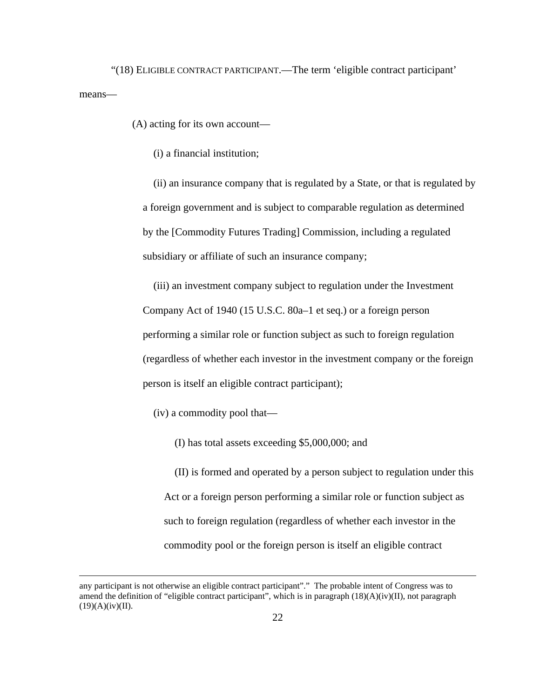"(18) ELIGIBLE CONTRACT PARTICIPANT.—The term 'eligible contract participant' means—

(A) acting for its own account—

(i) a financial institution;

(ii) an insurance company that is regulated by a State, or that is regulated by a foreign government and is subject to comparable regulation as determined by the [Commodity Futures Trading] Commission, including a regulated subsidiary or affiliate of such an insurance company;

(iii) an investment company subject to regulation under the Investment Company Act of 1940 (15 U.S.C. 80a–1 et seq.) or a foreign person performing a similar role or function subject as such to foreign regulation (regardless of whether each investor in the investment company or the foreign person is itself an eligible contract participant);

(iv) a commodity pool that—

1

(I) has total assets exceeding \$5,000,000; and

(II) is formed and operated by a person subject to regulation under this Act or a foreign person performing a similar role or function subject as such to foreign regulation (regardless of whether each investor in the commodity pool or the foreign person is itself an eligible contract

 $(19)(A)(iv)(II).$ any participant is not otherwise an eligible contract participant"." The probable intent of Congress was to amend the definition of "eligible contract participant", which is in paragraph (18)(A)(iv)(II), not paragraph  $(19)(A)(iv)(II).$  22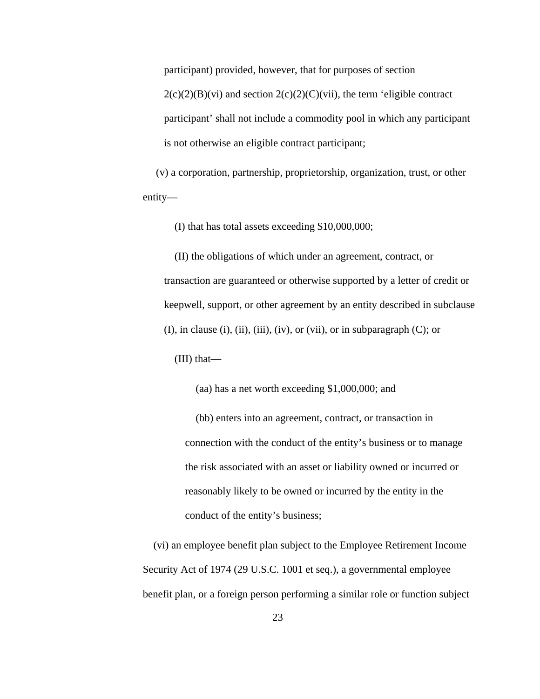participant) provided, however, that for purposes of section

 $2(c)(2)(B)(vi)$  and section  $2(c)(2)(C)(vii)$ , the term 'eligible contract participant' shall not include a commodity pool in which any participant is not otherwise an eligible contract participant;

(v) a corporation, partnership, proprietorship, organization, trust, or other entity—

(I) that has total assets exceeding \$10,000,000;

(II) the obligations of which under an agreement, contract, or transaction are guaranteed or otherwise supported by a letter of credit or keepwell, support, or other agreement by an entity described in subclause  $(I)$ , in clause  $(i)$ ,  $(ii)$ ,  $(iii)$ ,  $(iv)$ , or  $(vii)$ , or in subparagraph  $(C)$ ; or

(III) that—

(aa) has a net worth exceeding \$1,000,000; and

(bb) enters into an agreement, contract, or transaction in connection with the conduct of the entity's business or to manage the risk associated with an asset or liability owned or incurred or reasonably likely to be owned or incurred by the entity in the conduct of the entity's business;

(vi) an employee benefit plan subject to the Employee Retirement Income Security Act of 1974 (29 U.S.C. 1001 et seq.), a governmental employee benefit plan, or a foreign person performing a similar role or function subject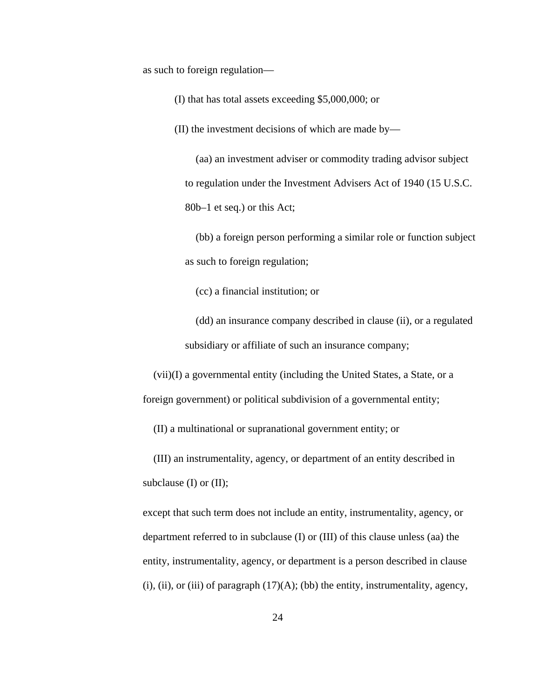as such to foreign regulation—

(I) that has total assets exceeding \$5,000,000; or

(II) the investment decisions of which are made by—

(aa) an investment adviser or commodity trading advisor subject to regulation under the Investment Advisers Act of 1940 (15 U.S.C. 80b–1 et seq.) or this Act;

(bb) a foreign person performing a similar role or function subject as such to foreign regulation;

(cc) a financial institution; or

(dd) an insurance company described in clause (ii), or a regulated subsidiary or affiliate of such an insurance company;

(vii)(I) a governmental entity (including the United States, a State, or a foreign government) or political subdivision of a governmental entity;

(II) a multinational or supranational government entity; or

(III) an instrumentality, agency, or department of an entity described in subclause (I) or (II);

except that such term does not include an entity, instrumentality, agency, or department referred to in subclause (I) or (III) of this clause unless (aa) the entity, instrumentality, agency, or department is a person described in clause  $(i)$ ,  $(ii)$ , or  $(iii)$  of paragraph  $(17)(A)$ ;  $(bb)$  the entity, instrumentality, agency,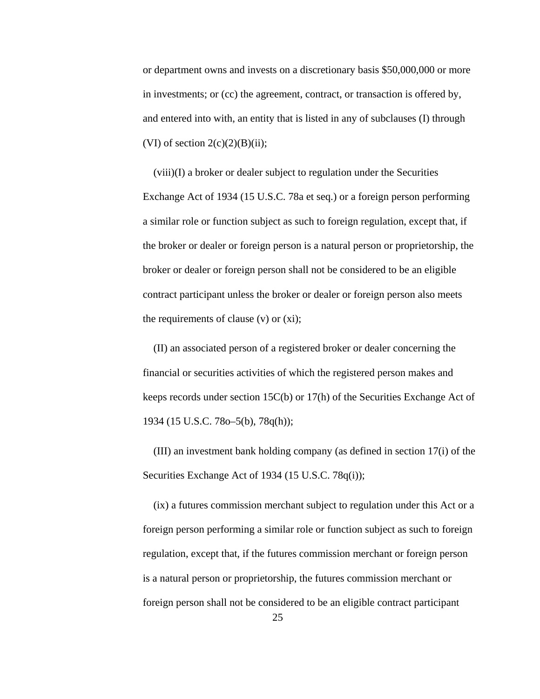or department owns and invests on a discretionary basis \$50,000,000 or more in investments; or (cc) the agreement, contract, or transaction is offered by, and entered into with, an entity that is listed in any of subclauses (I) through (VI) of section  $2(c)(2)(B)(ii)$ ;

(viii)(I) a broker or dealer subject to regulation under the Securities Exchange Act of 1934 (15 U.S.C. 78a et seq.) or a foreign person performing a similar role or function subject as such to foreign regulation, except that, if the broker or dealer or foreign person is a natural person or proprietorship, the broker or dealer or foreign person shall not be considered to be an eligible contract participant unless the broker or dealer or foreign person also meets the requirements of clause (v) or (xi);

(II) an associated person of a registered broker or dealer concerning the financial or securities activities of which the registered person makes and keeps records under section 15C(b) or 17(h) of the Securities Exchange Act of 1934 (15 U.S.C. 78o–5(b), 78q(h));

(III) an investment bank holding company (as defined in section 17(i) of the Securities Exchange Act of 1934 (15 U.S.C. 78q(i));

(ix) a futures commission merchant subject to regulation under this Act or a foreign person performing a similar role or function subject as such to foreign regulation, except that, if the futures commission merchant or foreign person is a natural person or proprietorship, the futures commission merchant or foreign person shall not be considered to be an eligible contract participant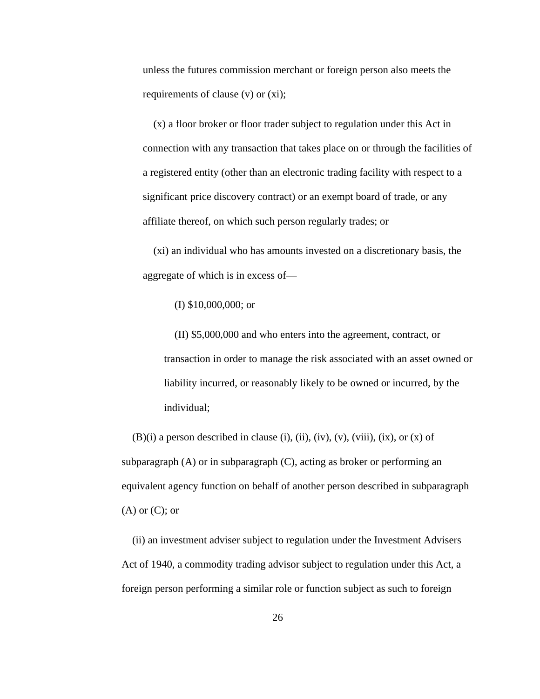unless the futures commission merchant or foreign person also meets the requirements of clause (v) or (xi);

(x) a floor broker or floor trader subject to regulation under this Act in connection with any transaction that takes place on or through the facilities of a registered entity (other than an electronic trading facility with respect to a significant price discovery contract) or an exempt board of trade, or any affiliate thereof, on which such person regularly trades; or

(xi) an individual who has amounts invested on a discretionary basis, the aggregate of which is in excess of—

(I) \$10,000,000; or

(II) \$5,000,000 and who enters into the agreement, contract, or transaction in order to manage the risk associated with an asset owned or liability incurred, or reasonably likely to be owned or incurred, by the individual;

 $(B)(i)$  a person described in clause (i), (ii), (iv), (v), (viii), (ix), or (x) of subparagraph (A) or in subparagraph (C), acting as broker or performing an equivalent agency function on behalf of another person described in subparagraph  $(A)$  or  $(C)$ ; or

(ii) an investment adviser subject to regulation under the Investment Advisers Act of 1940, a commodity trading advisor subject to regulation under this Act, a foreign person performing a similar role or function subject as such to foreign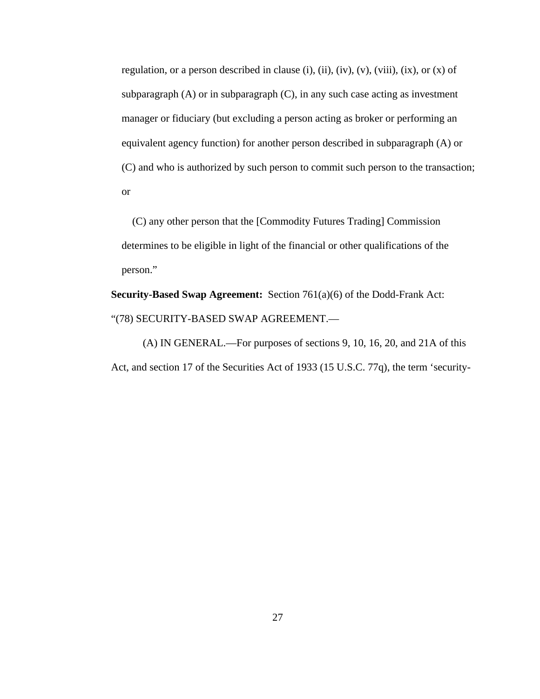regulation, or a person described in clause (i), (ii), (iv), (v), (viii), (ix), or  $(x)$  of subparagraph (A) or in subparagraph (C), in any such case acting as investment manager or fiduciary (but excluding a person acting as broker or performing an equivalent agency function) for another person described in subparagraph (A) or (C) and who is authorized by such person to commit such person to the transaction; or

(C) any other person that the [Commodity Futures Trading] Commission determines to be eligible in light of the financial or other qualifications of the person."

**Security-Based Swap Agreement:** Section 761(a)(6) of the Dodd-Frank Act: "(78) SECURITY-BASED SWAP AGREEMENT.—

(A) IN GENERAL.—For purposes of sections 9, 10, 16, 20, and 21A of this Act, and section 17 of the Securities Act of 1933 (15 U.S.C. 77q), the term 'security